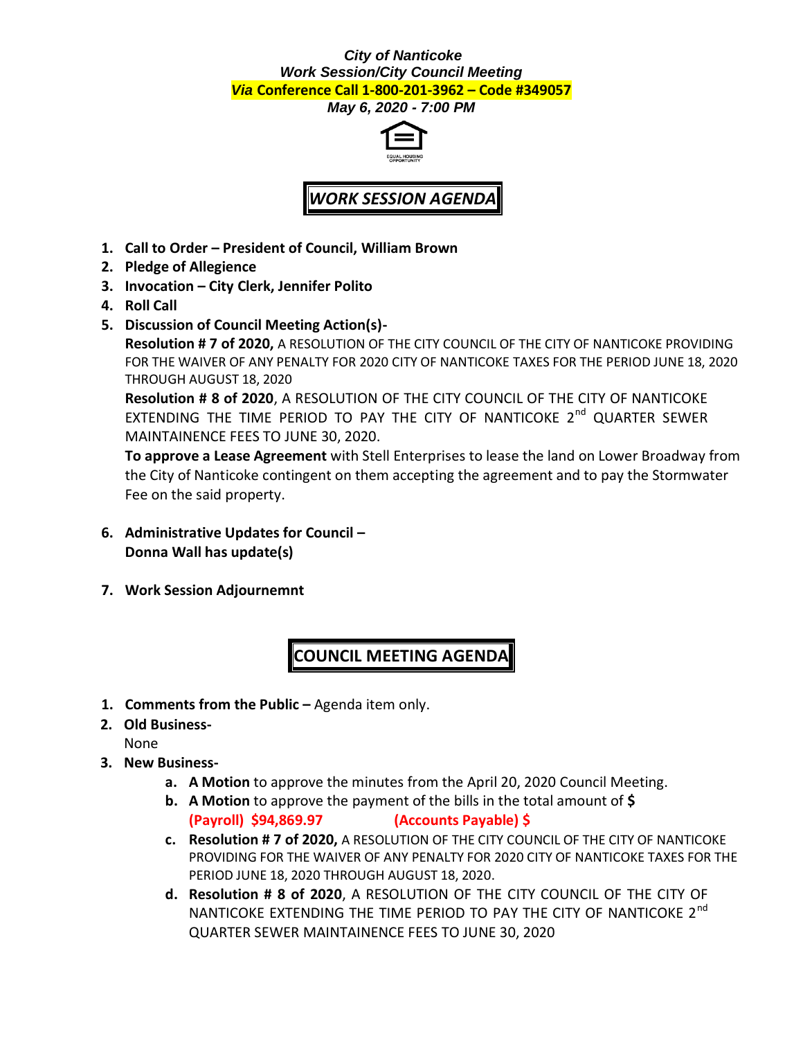## *City of Nanticoke Work Session/City Council Meeting Via* **Conference Call 1-800-201-3962 – Code #349057**

*May 6, 2020 - 7:00 PM*



## *WORK SESSION AGENDA*

- **1. Call to Order – President of Council, William Brown**
- **2. Pledge of Allegience**
- **3. Invocation – City Clerk, Jennifer Polito**
- **4. Roll Call**
- **5. Discussion of Council Meeting Action(s)-**

**Resolution # 7 of 2020,** A RESOLUTION OF THE CITY COUNCIL OF THE CITY OF NANTICOKE PROVIDING FOR THE WAIVER OF ANY PENALTY FOR 2020 CITY OF NANTICOKE TAXES FOR THE PERIOD JUNE 18, 2020 THROUGH AUGUST 18, 2020

**Resolution # 8 of 2020**, A RESOLUTION OF THE CITY COUNCIL OF THE CITY OF NANTICOKE EXTENDING THE TIME PERIOD TO PAY THE CITY OF NANTICOKE 2<sup>nd</sup> QUARTER SEWER MAINTAINENCE FEES TO JUNE 30, 2020.

**To approve a Lease Agreement** with Stell Enterprises to lease the land on Lower Broadway from the City of Nanticoke contingent on them accepting the agreement and to pay the Stormwater Fee on the said property.

- **6. Administrative Updates for Council – Donna Wall has update(s)**
- **7. Work Session Adjournemnt**

**COUNCIL MEETING AGENDA**

- **1. Comments from the Public –** Agenda item only.
- **2. Old Business-**

None

- **3. New Business**
	- **a. A Motion** to approve the minutes from the April 20, 2020 Council Meeting.
	- **b. A Motion** to approve the payment of the bills in the total amount of **\$ (Payroll) \$94,869.97 (Accounts Payable) \$**
	- **c. Resolution # 7 of 2020,** A RESOLUTION OF THE CITY COUNCIL OF THE CITY OF NANTICOKE PROVIDING FOR THE WAIVER OF ANY PENALTY FOR 2020 CITY OF NANTICOKE TAXES FOR THE PERIOD JUNE 18, 2020 THROUGH AUGUST 18, 2020.
	- **d. Resolution # 8 of 2020**, A RESOLUTION OF THE CITY COUNCIL OF THE CITY OF NANTICOKE EXTENDING THE TIME PERIOD TO PAY THE CITY OF NANTICOKE 2<sup>nd</sup> QUARTER SEWER MAINTAINENCE FEES TO JUNE 30, 2020